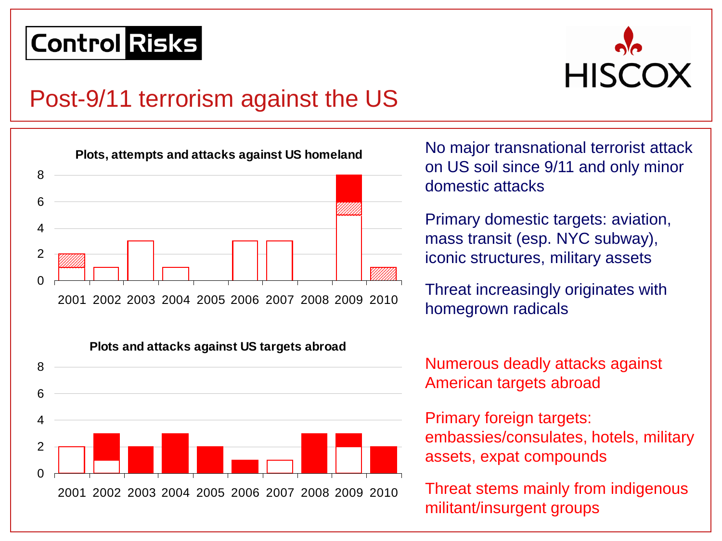

#### Post-9/11 terrorism against the US





No major transnational terrorist attack on US soil since 9/11 and only minor domestic attacks

Primary domestic targets: aviation, mass transit (esp. NYC subway), iconic structures, military assets

Threat increasingly originates with homegrown radicals

Numerous deadly attacks against American targets abroad

Primary foreign targets: embassies/consulates, hotels, military assets, expat compounds

Threat stems mainly from indigenous militant/insurgent groups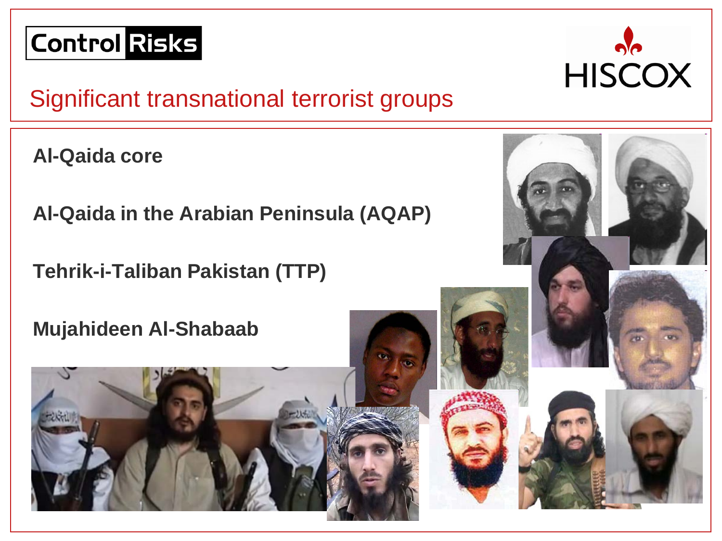

## Significant transnational terrorist groups

**Al-Qaida core**

**Al-Qaida in the Arabian Peninsula (AQAP)**

**Tehrik-i-Taliban Pakistan (TTP)**

**Mujahideen Al-Shabaab**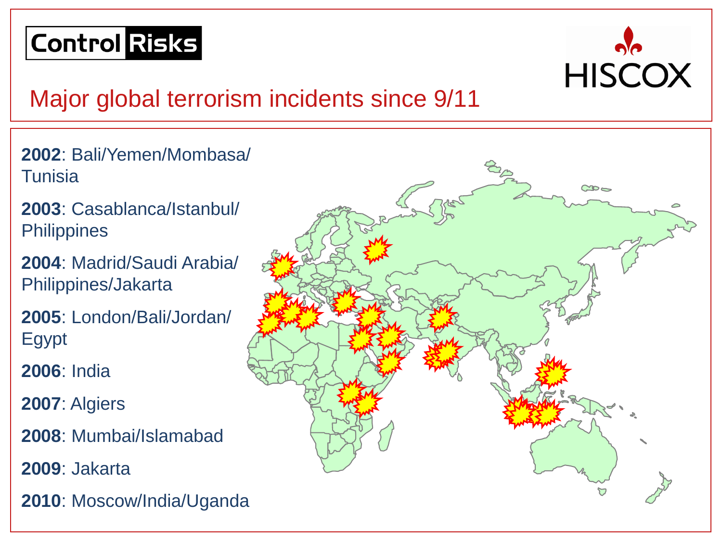

## Major global terrorism incidents since 9/11

- **2002**: Bali/Yemen/Mombasa/ **Tunisia**
- **2003**: Casablanca/Istanbul/ **Philippines**
- **2004**: Madrid/Saudi Arabia/ Philippines/Jakarta
- **2005**: London/Bali/Jordan/ Egypt
- **2006**: India
- **2007**: Algiers
- **2008**: Mumbai/Islamabad
- **2009**: Jakarta
- **2010**: Moscow/India/Uganda